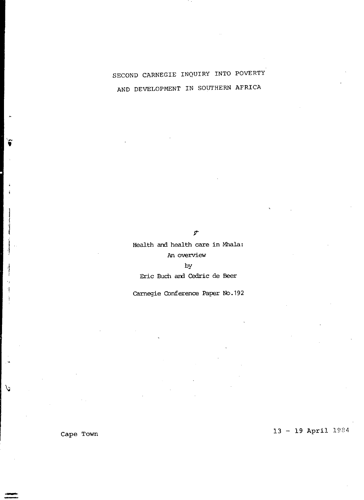# SECOND CARNEGIE INQUIRY INTO POVERTY AND DEVELOPMENT IN SOUTHERN AFRICA

g.

Health and health care in Mhala: An overview

by Eric Buch and Cedric de Beer

Carnegie COnference Paper No.192

Cape Town  $13 - 19$  April  $1984$ 

1 j

 $\mathcal{C}$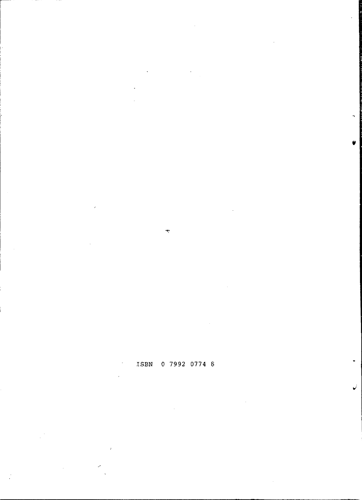# ISBN 0 7992 0774 8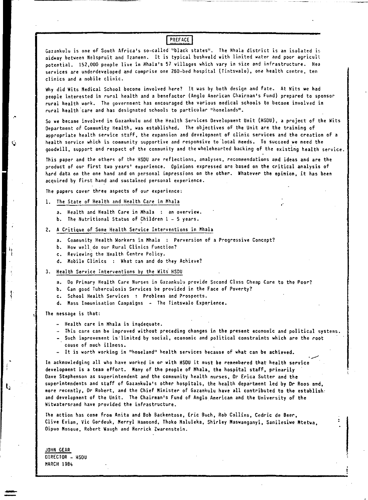## **PREFACE**

Gazankulu is one of South Africa's so-called "black states". The Mhala district is an isolated is  $\pi$ idway between Nelspruit and Tzaneen. It is typical bushveld with limited water and poor agricult **potential. 152,000 people live in Mhala's 57 villages which vary in size and infrastructure. Hea services 3re underdeveloped and comprise one 260-bed hospital (Tintswalo),** on~ **health** centre~ **ten clinics and a mobile clinic.** 

Why did Wits Medical School become involved here? It was by both design and fate. At Wits we had people interested in rural health and a benefactor (Anglo American Chairman's Fund) prepared to sponsor **rural health work. The government has encouraged the various medical schools to become involved in rural health 'care and has designated schools to particular "homelands".** 

So we became involved in Gazankulu and the Health Services Development Unit (HSDU), a project of the Wits Department of Community Health, was established. The objectives of the Unit are the training of **appropriate health service staff I the expansion and development of clinic services and the creation of a health service which is community supportive and responsive to "local needs. To succeed we need the**  goodwill, support and respect of the community and the wholehearted backing of the existing health service.

**This paper and the others of the HSDU are reflections, analyses, recommendations and ideas and are the product of our first two years' experience. Opinions expressed are based on the critical analysis of hard data on the one hand and on personal impressions on the other. Whatever the opinion, it has been acquired by first hand and sustained personal experience.** 

**The papers cover three aspects of our experience:** 

#### 1. The State of Health and Health Care in Mhala

- a. Health and Health Care in Mhala : an overview.
- b. The Nutritional Status of Children I **5 years.**
- 2. A Critique of Some Health Service Interventions in Mhala
	- a. Community Health Workers in Mhala : Perversion of a Progressive Concept?
	- **b.. How well" do our Rural Clinics Function?**
	- c. Reviewing the Health Centre Policy.
	- d. Mobile Clinics : What can and do they Achieve?
- 3. Health Service Interventions by the Wits HSDU
	- a. Do Primary Health Care Nurses in Gazankulu provide Second Class Cheap Care to the Poor?
	- **b. Can good Tuberculosis Services be provided in the Face of Poverty?**
	- c. School Health Services : Problems and Prospects.
	- **d. Mass Immunisation Campaigns - The Tintswalo Experience.**

The message is that:

l, I

 $\mathbf{t}$ 

- Health care in Mhala is inadequate.
- **This care can be improved without preceding changes in the present economic and political systems.**
- **- Such improvement is "limited by social, economic and political constraints which are the root cause of much illness.**
- 

cause or much illness.<br>In acknowledging all who have worked in or with HSDU it must be remembered that health service ,---------------<br>In acknowledging all who have worked in or with HSDU it must be remembered that health development is a team effort. Many of the people of Mhala, the hospital staff, primarily **Dave Stephenson as superintendent and the community health nurses, Or Erica Sutter and the**  superintendents and staff of Gazankulu's other hospitals, the health department led by Dr Roos and, more recently, Dr Robert, and the Chief Minister of Gazankulu have all contributed to the establish. and development of the Unit. The Chairman's Fund of Anglo American and the University of the **Witwatersrand nave provided the infrastructure ..** 

**The action has come from Anita and Bob Backentose, Eric Bucn, Rob CDllins, Cedric de Beer,**  Clive Evian, Vic Gordeuk, Merryl Hammond, Thoko Maluleka, Shirley Maswanganyi, Sanilesiwe Mtetwa, **Dipuo Mosoue, Robert Waugh and Merrick Zwarenstein.** 

JOHN GEAR DIRECTOR - HSDU **MARCH 1984**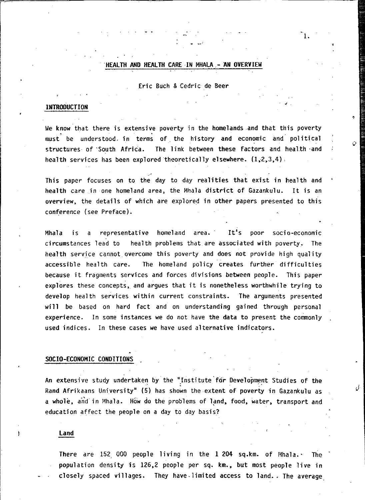## . HEALTH AND HEALTH CARE IN MHALA - AN OVERVIEW

1.

## Eric Buch & Cedric de Beer

## INTRODUCTION

We know that there is extensive poverty in the homelands and that this poverty<br>must be understood. in terms of the history and economic and political structures of South Africa. The link between these factors and health and health services has been explored theoretically elsewhere.  $(1,2,3,4)$ .

This paper focuses on to the day to day realities that exist in health and health care in one homeland area, the Mhala district of Gazankulu. It is an overview, the details of which are explored in other papers presented to this conference (see Preface).

Mhala is a representative homeland area. It's poor socio-economic circumstances lead to health problems that are associated with poverty. The health service cannot overcome this poverty and does not provide high quality accessible health care. The homeland policy creates further difficulties because it fragments services and forces divisions between people. This paper explores these concepts, and argues that it is nonetheless worthwhile trying to develop health services within current constraints. The arguments presented will be based on hard fact and on understanding gained through personal experience. In some instances we do not have the data to present the commonly used indices. In these cases we have used alternative indicators.

#### SOCIO-ECONOMIC CONDITIONS

An extensive study undertaken by the "Institute for Development Studies of the Rand Afrikaans University" (5) has shown the extent of poverty in Gazankulu as a whole, and in Mhala. How do the problems of land, food, water, transport and education affect the people on a day to day basis?

#### land

There are 152, 000 people living in the 1 204 sq.km. of Mhala. $\cdot$  The population density is 126,2 people per sq. km., but most people live in closely spaced villages. They have.limited access to land. The average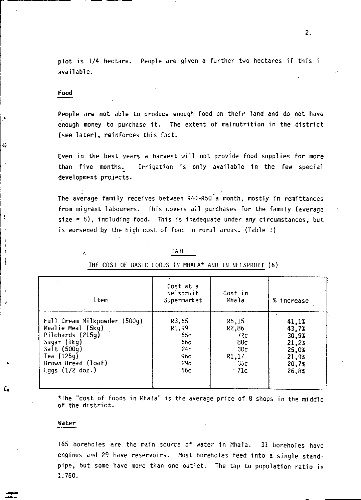plot is  $1/4$  hectare. People are given a further two hectares if this i available.

## **Food**

 $\bullet$ 

Ł,

ţ.

ì

÷

ŕ.

People are not able to produce enough food on their land and do not have enough money to purchase it. The extent of malnutrition in the district (see later). reinforces this fact.

Even in the best years a harvest will not provide food supplies for more than five months. Irrigation is only available in the few special development projects.

The average family receives between R40-R50"a month. mostly in remittances from migrant labourers. This covers all purchases for the family (average size = 5), including food. This is inadequate under any circumstances, but is worsened by the high cost of food in rural areas. (Table 1)

| Item                         | Cost at a<br>Nelspruit<br>Supermarket | Cost in<br>Mhala | % increase |
|------------------------------|---------------------------------------|------------------|------------|
| Full Cream Milkpowder (500g) | R3,65                                 | R5,15            | 41,1%      |
| Mealie Meal (5kg)            | R1,99                                 | R2,86            | 43,7%      |
| Pilchards (215q)             | 55c                                   | 72c              | 30,9%      |
| Sugar (1kg)                  | 66c                                   | 80c              | 21,2%      |
| Salt (500g)                  | 24c                                   | 30c              | 25.0%      |
| Tea (125g)                   | 96c                                   | R1,17            | 21,9%      |
| Brown Bread (loaf)           | 29c                                   | 35c              | 20,7%      |
| Eggs $(1/2$ doz.)            | 56c                                   | * 71c            | 26,8%      |

# TABLE 1 THE COST OF BASIC FOODS IN MHALA\* AND IN NELSPRUIT (6)

\*The "cost of foods in Mhala" is the average price of 8 shops in the middle of the district.

#### Water

-

165 boreholes are the main source of water in Mhala. 31 boreholes have engines and 29 have reservoirs. Most boreholes feed into a single standpipe, but some have more than one outlet. The tap to population ratio is 1:760.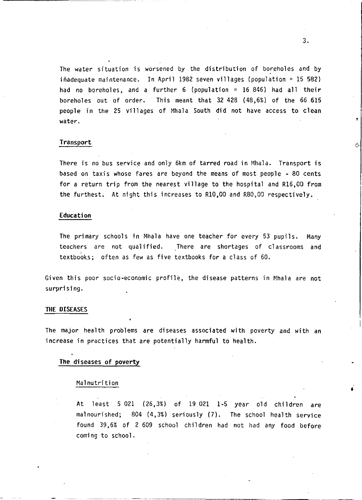The water situation is worsened by the distribution of boreholes and by inadequate maintenance. In April 1982 seven villages (population = 15 582) had no boreholes, and a further 6 (population =  $16,846$ ) had all their boreholes out of order. This meant that 32 428 (48,6%) of the 66 615 people in the 25 villages of Mhala South did not have access to clean water.

## Transport

There is no bus service and only 5km of tarred road in Mhala. Transport is based on taxis whose fares are beyond the means of most people - 80 cents for a return trip from the nearest village to the hospital and R16,00 from the furthest. At night this increases to RI0,OO and R80,OO respectively.

## Education

The primary schools in Mhala have one teacher for every 53 pupils. Many teachers are not qualified. There are shortages of classrooms and textbooks; often as few as five textbooks for a class of 60.

Given this poor socio-economic profile, the disease patterns in Mhala are not surprising.

#### THE DISEASES

The major health problems are diseases associated with poverty and with an increase in practices that are potentially harmful to health.

## The diseases of poverty

#### Malnutrition

At least 5 021 (26,3%) of 19 021 1-5 year old children are malnourished; 804 (4,3%) seriously (7). The school health service found 39,6% of 2 609 school chil dren had not had any food before coming to school.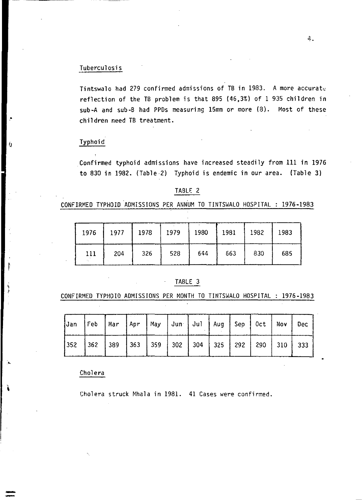## Tuberculosis

Tintswalo had 279 confirmed admissions of TB in 1983. A more accurate reflection of the TB problem is that 895 (46,3%) of 1 935 children in sub-A and sub-B had PPDs measuring 15mm or more (8). Most of these children need TB treatment.

## Typhoid

,"

 $\overline{\phantom{a}}$ 

Confirmed typhoid admissions have increased steadily from III in 1976 to 830 in 1982. (Table·2) Typhoid is endemic in our area. (Table 3)

## TABLE 2

CONFIRMED TYPHOID ADMISSIONS PER ANNUM TO TINTSWALO HOSPITAL : 1976-1983

| 1976 | 1977 | 1978 | 1979 | 1980 | 1981 | 1982 | 1983 |
|------|------|------|------|------|------|------|------|
| 111  | 204  | 326  | 528  | 644  | 663  | 830  | 685  |

## TABLE 3

CONFIRMED TYPHOID ADMISSIONS PER MONTH TO TINTSWALO HOSPITAL : 1976-1983

|  | Jan Feb   Mar   Apr   May   Jun   Jul   Aug   Sep   Oct   Nov   Dec |  |  |  |  |  |
|--|---------------------------------------------------------------------|--|--|--|--|--|
|  |                                                                     |  |  |  |  |  |

Cholera

Cholera struck Mhala in 1981. 41 Cases were confirmed.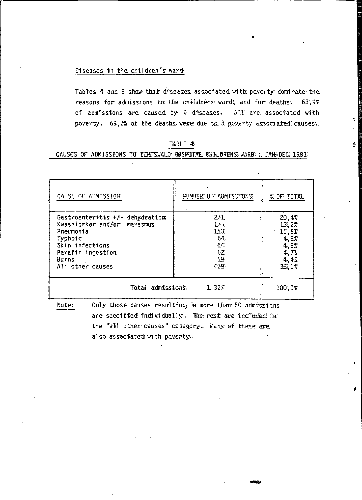## Diseases in the children"s ward:

Tables 4 and 5 show that: diseases: associated with poverty dominate the reasons for admissions: to; the childrens: ward, and for deaths. 63.9% of admissions are caused by  $V$  diseases. All are associated with poverty. 69,7% of the deaths were due to 3 poverty associated causes.

| CAUSE OF ADMISSION                                                                                                                                                                             | NUMBER OF ADMISSIONS                               | % OF TOTAL                                                       |
|------------------------------------------------------------------------------------------------------------------------------------------------------------------------------------------------|----------------------------------------------------|------------------------------------------------------------------|
| Gastroenteritis $+f$ - dehydration<br>Kwashiorkor and/or marasmus:<br>Pneumonia<br>Typhoid<br>Skin infections<br>Parafin ingestion<br>Burns<br>$\mathcal{L}_{\mathcal{L}}$<br>All other causes | 271<br>175<br>153<br>64.<br>64<br>62<br>59<br>479. | 20,4%<br>13.2%<br>11.5%<br>4.8%<br>4,8%<br>4.7%<br>4.4%<br>36.1% |
| Total admissions.                                                                                                                                                                              | 100.0%                                             |                                                                  |

liABhE 4:·

## CAUSES OF ADMISSIONS TO TINESWALO: HOSPITAL. CHILDRENS: WARD: :: JAN~DEC: 1983:

Note: Only those causes resulting in more than 50 admissions: are speciffied individually. The rest are included in the "all' other causes" category. Many of these are: also associated with poventy.

 $5.$ 

Ś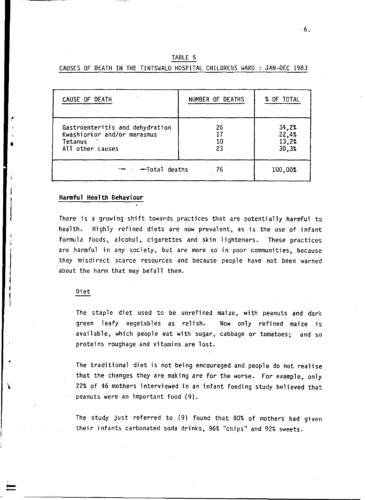|  |  |  | TABLE 5 |                                                                         |  |  |
|--|--|--|---------|-------------------------------------------------------------------------|--|--|
|  |  |  |         | CAUSES OF DEATH IN THE TINTSWALO HOSPITAL CHILDRENS WARD : JAN-DEC 1983 |  |  |

| CAUSE OF DEATH                                                                                | NUMBER OF DEATHS | % OF TOTAL                       |
|-----------------------------------------------------------------------------------------------|------------------|----------------------------------|
| Gastroenteritis and dehydration<br>Kwashiorkor and/or marasmus<br>Tetanus<br>All other causes | 26<br>10<br>23   | 34,2%<br>22,4%<br>13,2%<br>30.3% |
| – −Total deaths                                                                               | 76               | 100,00%                          |

## **Hannful Health Behaviour**

•

--

There is a growing shift towards practices that are potentially harmful to health. Highly refined diets are now prevalent, as is the use of infant formula foods, alcohol, cigarettes and skin lighteners. These practices are harmful in any society, but are more so in poor communities, because they misdirect scarce resources and because people have not been warned. about the harm that may befall them.

## Diet

The staple diet used to be unrefined maize, with peanuts and dark green leafy vegetables as relish. Now only refined maize is available, which people eat with sugar, cabbage or tomatoes; and so proteins roughage and vitamins are lost.

The traditional diet is not being encouraged and people do not realise that the changes they are making are for the worse. For example, only 22% of 46 mothers interviewed in an infant feeding study believed that peanuts were an important food (9).

The study just referred to (9) found that 80% of mothers had given their infants carbonated soda drinks, 96% "chips" and 92% sweets.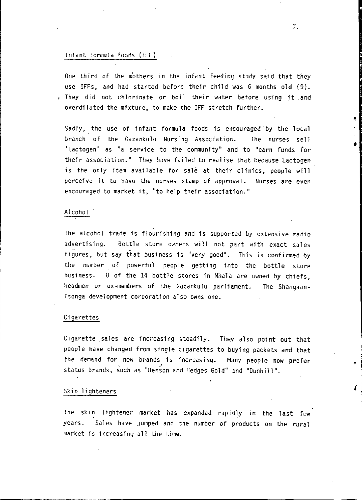#### Infant formula foods (IFF)

One third of the m'others in the infant feeding study said that they use IFFs, and had started before their child was 6 months old (9). , They did not chlorinate or boil their water before using it and overdiluted the mixture, to make the IFF stretch further.

Sadly, the use of infant formula foods is encouraged by the local branch of the Gazankulu Nursing Association. The nurses sell 'Lactogen' as "a service to the communi ty" and to "earn funds for their association." They have failed to realise that because Lactogen is the only item available for sale at their clinics, people will perceive it to have the nurses stamp of approval. Nurses are even encouraged to market it, "to help their association."

## Alcohol

The alcohol trade is flourishing and is supported by extensive radio advertising. Bottle store owners will not part with exact sales figures, but say that business is "very good". This is confirmed by the number of powerful people getting into the bottle store business. 8 of the 14 bottle stores in Mhala are owned by chiefs, headmen or ex-members of the Gazankulu parliament. The Shangaan-Tsonga development corporation also owns one.

## Cigarettes

Cigarette sales are increasing steadily. They also point out that people have changed from single cigarettes to buying packets and that the demand for new brands is increasing. Many people now prefer status brands, such as "Bensoh and Hedges Gold" and "Dunhill".

### Skin lighteners

The skin lightener market has expanded rapidly in the last few years. Sales have jumped and the number of products on the rural market is increasing all the time.

**7.** 

•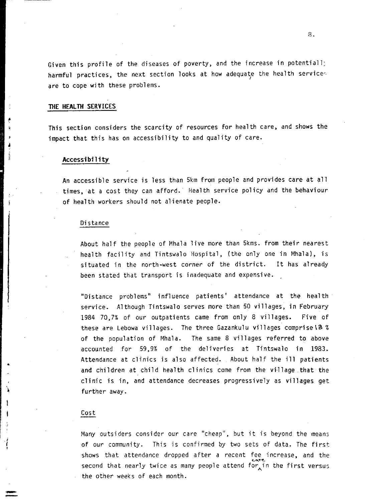Given this profile of the diseases of poverty, and the increase in potentiall: harmful practices, the next section looks at how adequate the health services are to cope with these problems.

## **THE HEALTH SERVICES**

This section considers the scarcity of resources for health care, and shows the impact that this has on accessibility to and quality of care.

## **Accessibil ity**

An accessible service is less than 5km from people and provides care at all times, at a cost they can afford. Health service pol icy and the behaviour of health workers should not alienate people.

#### Di stance

About half the people of Mhala live more than 5kms. from their nearest health facility and Tintswalo Hospital, (the only one in Mhala), is situated in the north-west corner of the district. It has already been stated that transport is inadequate and expensive ..

"Distance problems" influence patients' attendance at the health service. Although Tintswalo serves more than 50 villages, in February 1984 70,7% of our outpatients came from only 8 villages. Five of these are Lebowa villages. The three Gazankulu villages comprise \3 % of the population of Mhala. The same 8 villages referred to above accounted for 59,9% of the deliveries at Tintswalo in 1983. Attendance at clinics is also affected. About half the ill patients and children at child health clinics come from the village that the clinic is in, and attendance decreases progressively as villages get further away.

## Cost

-<br>-<br>-

Nany outsiders consider our care "cheap", but it is beyond the means of our community. This is confirmed by two sets of data. The first shows that attendance dropped after a recent fee increase, and the second that nearly twice as many people attend for in the first versus the other weeks of each month.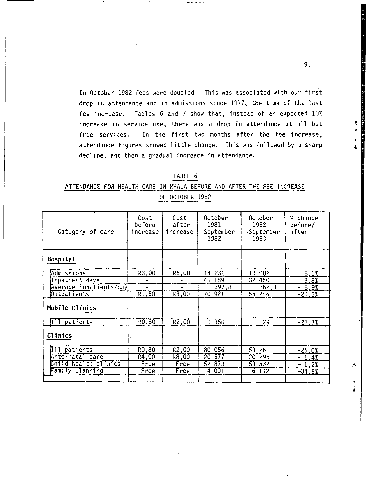In October 1982 fees were doubled. This was associated with our first drop in attendance and in admissions since 1977, the time of the last fee increase. Tables 6 and 7 show that, instead of an expected 10% increase in service use, there was a drop in attendance at all but free services. In the first two months after the fee increase, attendance figures showed little change. This was followed by a sharp decline, and then a gradual increace in attendance.

| ٦<br>c<br>- 10 |  |
|----------------|--|
|                |  |

# ATTENDANCE FOR HEALTH CARE IN MHALA BEFORE AND AFTER THE FEE INCREASE OF OCTOBER 1982

| Category of care            | Cost<br>before<br>increase | Cost<br>after<br>increase | October<br>1981<br>-September<br>1982 | October<br>1982<br>-September<br>1983 | % change<br>before/<br>after |
|-----------------------------|----------------------------|---------------------------|---------------------------------------|---------------------------------------|------------------------------|
| Hospital                    |                            |                           |                                       |                                       |                              |
| Admissions                  | R3.00                      | R5,00                     | 14 231                                | 13 082                                | $-8.1%$                      |
| Inpatient days              |                            |                           | 145<br>189                            | 132 460                               | $-8.8%$                      |
| Average inpatients/day      | $\ddot{\phantom{1}}$       | $\bullet$                 | 397.8                                 | 362.3                                 | $-8.9%$                      |
| Outpatients                 | R1,50                      | R3,00                     | $\overline{70}$<br>921                | 56 286                                | $-20.6%$                     |
| Mobile Clinics              |                            |                           |                                       |                                       |                              |
| III patients                | R <sub>0</sub> .80         | R <sub>2</sub> ,00        | 350<br>$\mathbf{1}$                   | 1 029                                 | $-23.7%$                     |
| Clinics                     |                            |                           |                                       |                                       |                              |
| Ill patients                | RO.80                      | R2.00                     | 056<br>80                             | 59 261                                | $-26.0%$                     |
| Ante-natal care             | R4,00                      | R8.00                     | 577<br>20                             | 20<br>296                             | $-1.4%$                      |
| Child health clinics        | Free                       | Free                      | 52 873                                | 53 532                                | $+1.2%$                      |
| <sup>-</sup> amily planning | Free                       | Free                      | 001<br>4                              | $6 - 112$                             | $+34.5%$                     |
|                             |                            |                           |                                       |                                       |                              |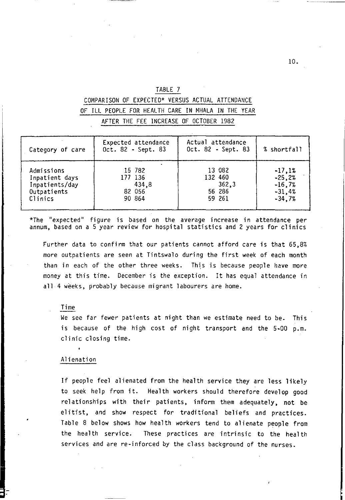| ╸<br>the contract of the contract of |  |
|--------------------------------------|--|
|                                      |  |
|                                      |  |

# COMPARISON OF EXPECTED\* VERSUS ACTUAL ATTENDANCE OF ILL PEOPLE FOR HEALTH CARE IN MHALA IN THE YEAR

AFTER THE FEE INCREASE OF OCTOBER 1982

| Category of care | Expected attendance<br>Oct. 82 - Sept. 83 | Actual attendance<br>Oct. 82 - Sept. 83 | % shortfall |
|------------------|-------------------------------------------|-----------------------------------------|-------------|
| Admissions       | 15 782                                    | 13 082                                  | $-17,12$    |
| Inpatient days   | 177 136                                   | 132 460                                 | $-25.2%$    |
| Inpatients/day   | 434.8                                     | 362.3                                   | $-16.7%$    |
| Outpatients      | 82 056                                    | 56 286                                  | $-31.4%$    |
| Clinics          | 90 864                                    | 59 261                                  | $-34.7%$    |

\*The "expected" figure is based on the average increase in attendance per annum, based on a 5 year review for hospital statistics and 2 years for clinics

Further data to confirm that our patients cannot afford care is that 65,8% more outpatients are seen at Tintswalo during the first week of each month than in each of the other three weeks. This is because people have more money at this time. December is the exception. It has equal attendance in all 4 weeks, probably because migrant labourers are home.

### Time

We *see* far fewer patients at night than we estimate need to be. This is because of the high cost of night transport and the 5-00 p.m. clinic closing time.

#### Alienation

If people feel alienated from the health service they are less likely to seek help from it. Health workers should therefore develop good relationships with their patients, inform them adequately, not be elitist, and show respect for traditional beliefs and practices. Table 8 below shows how health workers tend to alienate people from the health service. These practices are intrinsic to the health services and are re-inforced by the class background of the nurses.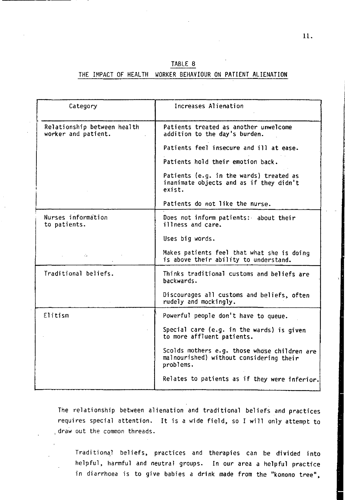## TABLE 8

## THE IMPACT OF HEALTH WORKER BEHAVIOUR ON PATIENT ALIENATION

| Category                                           | Increases Alienation                                                                                 |
|----------------------------------------------------|------------------------------------------------------------------------------------------------------|
| Relationship between health<br>worker and patient. | Patients treated as another unwelcome<br>addition to the day's burden.                               |
|                                                    | Patients feel insecure and ill at ease.                                                              |
|                                                    | Patients hold their emotion back.                                                                    |
|                                                    | Patients (e.g. in the wards) treated as<br>inanimate objects and as if they didn't<br>exist.         |
|                                                    | Patients do not like the nurse.                                                                      |
| Nurses information<br>to patients.                 | Does not inform patients: about their<br>illness and care.                                           |
|                                                    | Uses big words.                                                                                      |
| d.                                                 | Makes patients feel that what she is doing<br>is above their ability to understand.                  |
| Traditional beliefs.                               | Thinks traditional customs and beliefs are<br>backwards.                                             |
|                                                    | Discourages all customs and beliefs, often<br>rudely and mockingly.                                  |
| Elitism                                            | Powerful people don't have to queue.                                                                 |
|                                                    | Special care (e.g. in the wards) is given<br>to more affluent patients.                              |
|                                                    | Scolds mothers e.g. those whose children are<br>malnourished) without considering their<br>problems. |
|                                                    | Relates to patients as if they were inferior.                                                        |
|                                                    |                                                                                                      |

The relationship between alienation and traditional beliefs and practices requires special attention. It is a wide field, so I will only attempt to ,draw out the common threads.

Traditionq1 beliefs, practices and therapies can be divided into helpful, harmful and neutral groups. In our area a helpful practice in diarrhoea is to give babies a drink made from the "konono tree",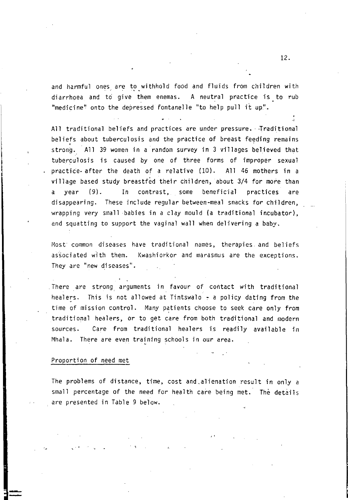and harmful ones are to withhold food and fluids from children with diarrhoea and to give them enemas. A neutral practice is. to rub "medicine" onto the depressed fontanelle "to help pull it up".

All traditional beliefs and practices are under pressure. Traditional beliefs about tuberculosis and the practice of breast feeding remains strong. All 39 women in a random survey in 3 villages believed that tuberculosis is caused by one of three forms of improper sexual practice. after the death of a relative (10). All 46 mothers in a village based study breastfed their children, about *3/4* for more than a year (9). In contrast, some beneficial practices are disappearing. These include regular between-meal snacks for children, wrapping *very* small babies in a clay mould (a traditional incubator), and squatting to support the vaginal wall when delivering a baby.

Most common diseases have traditional names, therapies and beliefs associated with them. Kwashiorkor and marasmus are the exceptions. They are "new diseases".

There are strong arguments in favour of contact with traditional healers. This is not allowed at Tintswalo  $\div$  a policy dating from the time of mission control. Many patients choose to seek care only from traditional healers, or to get care from both traditional and modern sources. Care from traditional healers is readily available in Mhala. There are even training schools in our area.

#### Proportion of need met

The problems of distance, time, cost and.alienation result in only a small percentage of the need for health care being met. The details are presented in Table 9 below.

"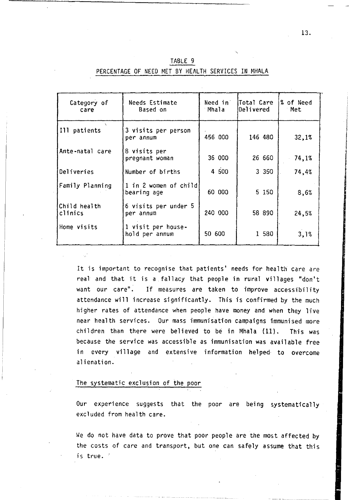| Category of<br>care     | Needs Estimate<br>Based on           | Need in<br>Mhala | Total Care<br>Delivered | % of Need<br>Met |
|-------------------------|--------------------------------------|------------------|-------------------------|------------------|
| Ill patients            | 3 visits per person<br>per annum     | 456 000          | 146 480                 | 32,1%            |
| Ante-natal care         | 8 visits per<br>pregnant woman       | 36 000           | 26 660                  | 74,1%            |
| Deliveries              | Number of births                     | 4 500            | 3.350                   | 74,4%            |
| Family Planning         | 1 in 2 women of child<br>bearing age | 60 000           | 5 1 5 0                 | 8,6%             |
| Child health<br>clinics | 6 visits per under 5<br>per annum    | 240 000          | 58 890                  | 24,5%            |
| Home visits             | 1 visit per house-<br>hold per annum | 50 600           | 1 580                   | 3,1%             |

TABLE 9 PERCENTAGE OF NEED MET BY HEALTH SERVICES IN MHALA

It is important to recognise that patients' needs for health care are real and that it is a fallacy that people in rural villages "don't want our care". If measures are taken to improve accessibility attendance will increase significantly. This is confirmed by the much higher rates of attendance when people have money and when they live near health services. Our mass immunisation campaigns immunised more children than there were believed to be in Mhala (ll). This was because the service was accessible as immunisation was available free in every village and extensive information helped to overcome alienation.

## The systematic exclusion of the poor

Our experience suggests that the poor are being systematically excluded from health care.

We do not have data to prove that poor people are the most affected by the costs of care and transport, but one can safely assume that this is true.'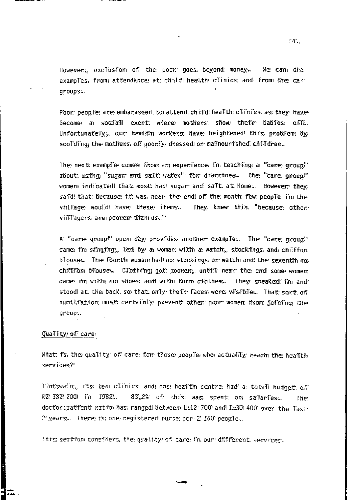Howevery, exclusion of. the poor, goes; beyond. money., We can: draexamples, from attendance at: child! healthy clinics; and from the cangroups: •.

Poor:' peop.Te: are: embarassedl to: attendi chiild: heaTth: clifnics; as; they/ havebecome al socijall event: where: mothers; show their babies; off. UnfortunateTy, our heallth workens; have hefghtened: thi's probTem by scolding, the mothers off poorly dressed or malnourished children...

The: next: examp:Te: comes; thom am experience, fm teaching; a "care: group!" about; usi'ng "sugam andl sailt; waten!" for di'arrhoea... The "care: gnoupl" womem i'ndicatedl that: most: had! sugar and salt: at: home... However they; said! that: because: it: was; near: the endl of the month) few people i'm the viillage would have these items. v, iii.liagers; are poorer than us:.." They: knew: thiis, "because: other-

A, "care: gnoup" opem day provides another: exampTe... The "care: group" cames i'm siinging, ledl by a womam with a watch, stocklings and, chi;fifom b l'ouse.. The fourth woman had not stockd ngs or: watch and! the seventh not chifffiam blouse.. CJothing; got: poorer,, untill near: the end! some womem came? fm wijth not shoes; andl with torm c:l'othes... They sneakedl i'm andl stoodl at; the back; so that; only, thei'n: faces; were: vi's;ibile,., That: sont: off humi Hi'ati'on must; certai'nTy prevent; other poor womem firom joi'ni'ng the group...

## Quality of care

What fs; the quallity of care: for those people: who actually reach the healtth services?'

Tiintswallo;, fits; tenl cilimics: and one: healith centre: had' a, totall budget: of: R2: 382: 200) in 1982.. 83,2% of this; was spent: on sallaries.. The doctor: patient: ratio has, ranged: between 1::12, 700, and 1::30, 400, over the Tast. 2! years... There! i's; one; registered! nurse; per: 2' 160: peop:le...

-

This section considens, the quality of care in our different secvices.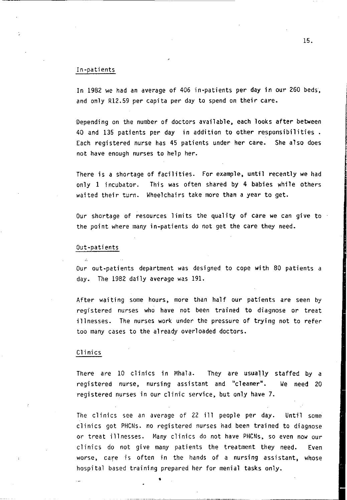## In-patients

In 1982 we had an average of 406 in-patients per day in our 260 beds, and only R12.59 per capita per day to spend on their care.

Depending on the number of doctors available, each looks after between 40 and 135 patients per day in addition to other responsibilities. Each registered nurse has 45 patients under her care. She also does not have enough nurses to help her.

There is a shortage of facilities. For example, until recently we had only 1 incubator. This was often shared by 4 babies while others waited their turn. Wheelchairs take more than a year to get.

Our shortage of resources limits the quality of care we can give to the point where many in-patients do not get the care they need.

#### Out-patients

 $\mathcal{A}$ 

Our out-patients department was designed to cope with 80 patients a day. The 1982 daily average was 191.

After waiting some hours, more than half our patients are seen by registered nurses who have not been trained to diagnose or treat illnesses. The nurses work under the pressure of trying not to refer too many cases to the already overloaded doctors.

#### Clinics

There are 10 clinics in Mhala. They are usually staffed by a registered nurse, nursing assistant and "cleaner". We need 20 registered nurses in our clinic service, but only have 7.

The clinics see an average of 22 ill people per day. Until some clinics got PHCNs. no registered nurses had been trained to diagnose or treat illnesses. Many clinics do not have PHCNs, so even now our clinics do not give many patients the treatment they need. Even worse, care is often in the hands of a nursing assistant, whose hospital based training prepared her for menial tasks only.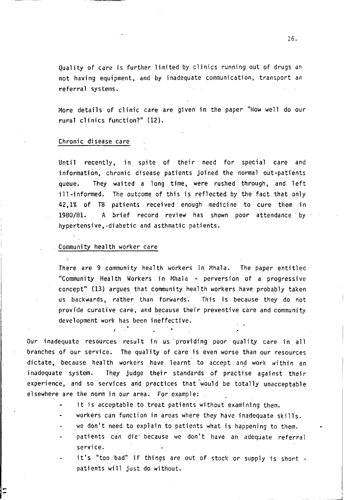Quality of care is further limited by clinics running out of drugs an not having equipment, and by inadequate communication, transport an referral systems.

More details of clinic care are given in the paper "How well do' our rural clinics function?" (12).

#### ·Chronic disease care

Until recently, in spite of their need for special care and information; chronic disease patients joined the normal out-patients queue. They waited a long time, were rushed through, and left ill-informed. The outcome of this is reflected by the fact that only 42,1% of TB patients received enough medicine to cure them in 1980/81. A brief record review has shown poor attendance by hypertensive, diabetic and asthmatic patients.

## Community health worker care

 $\mathcal{L}$ 

There are 9 community health workers in Mhala. The paper entitled "Community Health Workers in Mhala - perversion of a progressive concept" (13) argues that community health workers have probably taken us backwards, rather than forwards. This is because they do not provide curative care, and because their preventive care and community development work has been ineffective.

Our inadequate resources result in us' providing poor quality care in all branches of our service. The quality of care is even worse than our resources dictate, because health workers have learnt to accept and work within an inadequate system. They judge their standards of practise against their experience, and so services and practices that would be totally unacceptable elsewhere are the norm in our area. For example:

- it is acceptable to treat patients without examining them.
- workers can function in areas where they have inadequate skills.
- we don't need to explain to patients what is happening to them.
- patients can die because we don't have an adequate referral service.
- it's "too bad" if things are out of stock or supply is short patients will just do without.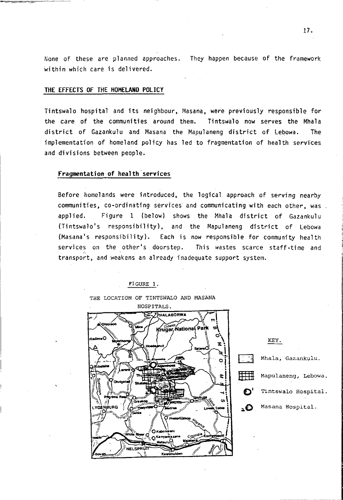None of these are planned approaches. They happen because of the framework within which care is delivered.

## **THE EFFECTS OF THE HOMELAND POLICY**

Tintswalo hospital and its neighbour, Masana, were previously responsible for the care of the communities around them. **Tintswalo now serves the Mhala** district of Gazankulu and Masana the Mapulaneng district of Lebowa. The implementation of homeland policy has led to fragmentation of health services and divisions between people.

## **Fragmentation of health services**

Before homelands were introduced, the logical approach of serving nearby communities, co-ordinating services and communicating with each other, was applied. Figure 1 (below) shows the Mhala district of Gazankulu (Tintswalo's responsibility), and the Mapulaneng district of Lebowa (Masana's responsibility). Each is now responsible for community health services on the other's doorstep. This wastes scarce staff-time and transport, and weakens an already inadequate support system.

THE LOCATION OF TINTSWALO AND MASANA



KEY. Mhala, Gazankulu.  $\frac{1}{\sqrt{1-\frac{1}{\sqrt{1-\frac{1}{\sqrt{1-\frac{1}{\sqrt{1-\frac{1}{\sqrt{1-\frac{1}{\sqrt{1-\frac{1}{\sqrt{1-\frac{1}{\sqrt{1-\frac{1}{\sqrt{1-\frac{1}{\sqrt{1-\frac{1}{\sqrt{1-\frac{1}{\sqrt{1-\frac{1}{\sqrt{1-\frac{1}{\sqrt{1-\frac{1}{\sqrt{1-\frac{1}{\sqrt{1-\frac{1}{\sqrt{1-\frac{1}{\sqrt{1-\frac{1}{\sqrt{1-\frac{1}{\sqrt{1-\frac{1}{\sqrt{1-\frac{1}{\sqrt{1-\frac{1}{\sqrt{1-\frac{1}{\sqrt{1-\frac{1}{$ **()'** Tintswalo Hospital . **• ()** Masana Hospital.

FIGURE 1.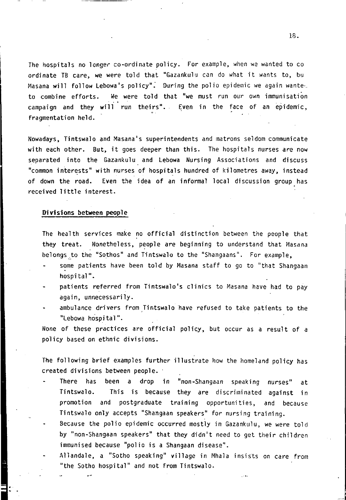The hospitals no longer co-ordinate policy. For example, when we wanted to co ordinate TB care, we were told that "Gazankulu can do what it wants to, bu Masana will follow Lebowa's policy". During the polio epidemic we again wante. to combine efforts. We were told that "we must run our own immunisation campaign and they will run theirs". Even in the face of an epidemic, fragmentation held.

Nowadays, Tintswalo and Masana's superintendents and matrons seldom communicate with each other. But, it goes deeper than this. The hospitals nurses are now separated into the Gazankulu and lebowa Nursing Associations and discuss "common interests" with nurses of hospitals hundred of kilometres away, instead of down the road. Even the idea of an informal local discussion group has received little interest.

## **Divisions** between people

The health services make no official distinction between the people that they treat. Nonetheless, people are beginning to understand that Masana belongs,to the "Sothos" and Tintswalo to the "Shangaans". For example,

- some patients have been told by Masana staff to go to "that Shangaan hospital".
- patients referred from Tintswalo's clinics to Masana have had to pay again, unnecessarily.
- ambulance drivers from Tintswalo 'have refused to take patients to the "lebowa hospital".

None of these practices are official policy, but occur as a result of a policy based on ethnic divisions.

The following brief examples further illustrate how the homeland policy has created divisions between people.

- There has been a drop in "non-Shangaan speaking nurses" Tintswalo. This is because they are discriminated against in at promotion and postgraduate training opportunities, and because Tintswalo only accepts "Shangaan speakers" for nursing training.
- Because the polio epidemic occurred mostly in Gazankulu, we were told by "non-Shangaan speakers" that they didn't need to get their children immunised because "polio is a Shangaan disease".
- Allandale, a "Sotho speaking" village in Mhala insists on care from "the Sotho hospital" and not from Tintswalo.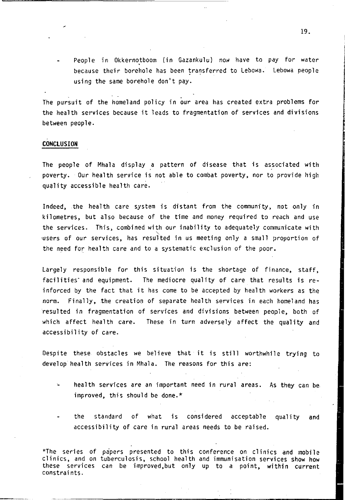People in Okkernotboom (in Gazankulu) now have to pay for water because their borehole has been transferred to Lebowa. Lebowa people using the same borehole don't pay.

The pursuit of the homeland policy in our area has created extra problems for the health services because it leads to fragmentation of services and divisions between people.

#### **CONCLUSION**

The people of Mhala display a pattern of disease that is associated with poverty. Our health service is not able to combat poverty, nor to provide high quality accessible health care.

Indeed, the health care system is distant from the community, not only in kilometres, but also because of the time and money required to reach and use the services. This, combined with our inability to adequately communicate with " ·users of our services, has resulted in us meeting only a small proportion of the need for health care and to a systematic exclusion of the poor.

Largely responsible for this situation is the shortage of finance, staff, facilities' and equipment. The mediocre quality of care that results is reinforced by the fact that it has come to be accepted by health workers as the norm. Finally, the creation of separate health services in each homeland has resulted in fragmentation of services and divisions between people, both of which affect health care. These in turn adversely affect the quality and accessibility of care.

Despite these obstacles we believe that it is still worthwhile trying to develop health services in Mhala. The reasons for this are:

- health services are an important need in rural areas. As they can be. improved, this should be done.\*
- the standard of what is considered acceptable quality and accessibility of care in rural areas needs to be raised.

\*The series of papers presented to this conference on clinics and mobile<br>clinics, and on tuberculosis, school health and immunisation services show how these services can be improved,but only up to a point, within current constraints.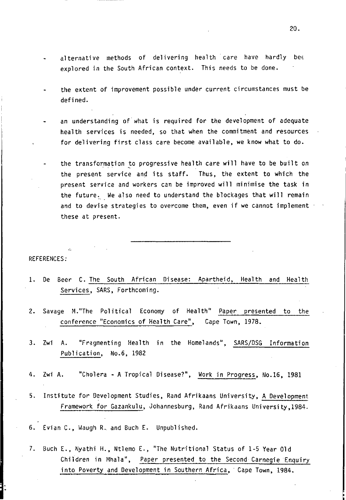- alternative methods of delivering health care have hardly bet explored in the South African context. This needs to be done.
- the extent of improvement possible under current circumstances must be defined.
- an understanding of what is required for the development of adequate health services is needed, so that when the commitment and resources for delivering first class care become available, we know what to do.
- the transformation to progressive health care will have to be built on the present service and its staff. Thus, the extent to which the present service and workers can be improved will minimise the task in the future. We also need to understand the blockages that will remain and to devise strategies to overcome them, even if we cannot implement  $\cdot$ these at present.

### REFERENCES:

- 1. De Seer C. The South African Disease: Apartheid, Health and Health Services, SARS, Forthcoming.
- 2. Savage M."The Political Economy of Health" Paper presented to the conference "Economics of Health Care", Cape Town, 1978.
- 3. Zwi A. "Fragmenting Health in the Homelands", SARS/DSG Information Publication, No.6, 1982
- 4. Zwi A. "Cholera A Tropical Disease?", Work in Progress, No.16, 1981
- 5. Institute for Development Studies, Rand Afrikaans University, A Development Framework for Gazankulu, Johannesburg, Rand Afrikaans University,1984.
- 6. Evian C., Waugh R. and Such E. Unpublished.
- 7. Buch E., Nyathi H., Ntlemo E., "The Nutritional Status of 1-5 Year Old Children in Mhala", Paper presented to the Second Carnegie Enquiry into Poverty and Development in Southern Africa, Cape Town, 1984.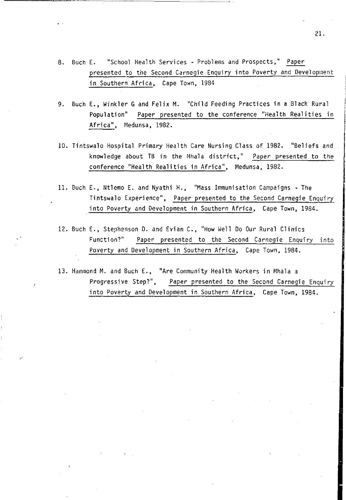- 8. Buch E. "School Health Services Problems and Prospects," Paper presented to the Second Carnegie Enquiry into Poverty and Development in Southern Africa, Cape Town, 1984
- 9. Buch E., Winkler G and Felix M. "Child Feeding Practices in a Black Rural Population" Paper presented to the conference "Health Realities in Africa", Medunsa, 1982.
- 10. Tintswalo Hospital Primary Health Care Nursing Class of 1982. "Beliefs and knowledge about TB in the Mhala district," Paper presented to the conference "Health Realities in Africa", Medunsa, 1982.
- 11. Buch E., Ntlemo E. and Nyathi H., "Mass Immunisation Campaigns The Tintswalo Experience", Paper presented to the Second Carnegie Enquiry into Poverty and Development in Southern Africa, Cape Town, 1984.
- 12. Buch E., Stephenson D. and Evian C., "How Well Do Our Rural Clinics Function?" Paper presented to the Second Carnegie Enquiry into Poverty and Development in Southern Africa, Cape Town, 1984.
- 13. Hammond M. and Buch E., "Are Community Health Workers in Mhala a Progressive Step?", Paper presented to the Second Carnegie Enquiry into Poverty and Development in Southern Africa, Cape Town, 1984.